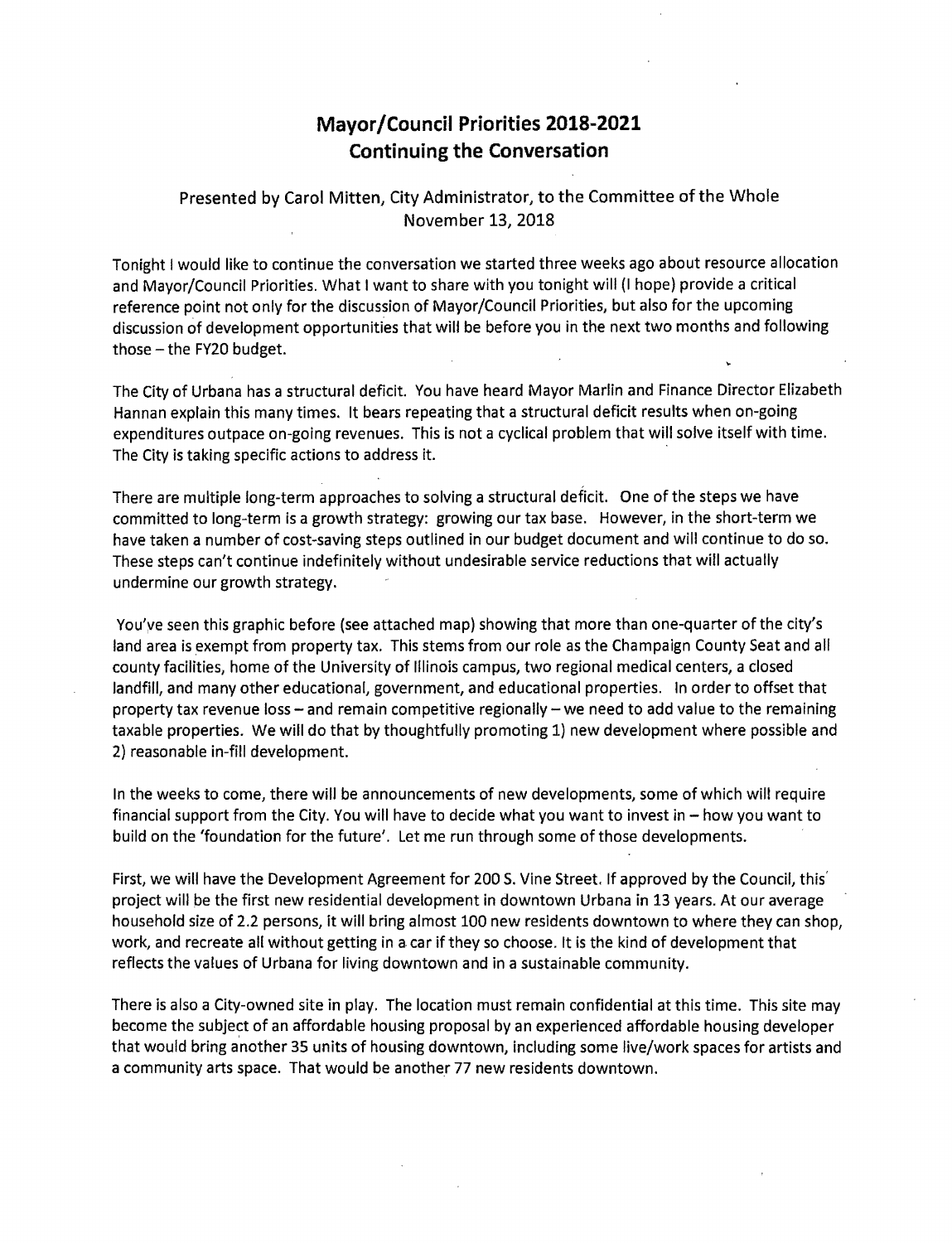## **Mayor/Council Priorities 2018-2021 Continuing the Conversation**

Presented by Carol Mitten, City Administrator, to the Committee of the Whole November 13, 2018

Tonight I would like to continue the conversation we started three weeks ago about resource allocation and Mayor/Council Priorities. What I want to share with you tonight will (I hope) provide a critical reference point not only for the discussion of Mayor/Council Priorities, but also for the upcoming discussion of development opportunities that will be before you in the next two months and following those  $-$  the FY20 budget.

The City of Urbana has a structural deficit. You have heard Mayor Marlin and Finance Director Elizabeth Hannan explain this many times. It bears repeating that a structural deficit results when on-going expenditures outpace on-going revenues. This is not a cyclical problem that will solve itself with time. The City is taking specific actions to address it.

There are multiple long-term approaches to solving a structural deficit. One of the steps we have committed to long-term is a growth strategy: growing our tax base. However, in the short-term we have taken a number of cost-saving steps outlined in our budget document and will continue to do so. These steps can't continue indefinitely without undesirable service reductions that will actually undermine our growth strategy.

You've seen this graphic before (see attached map) showing that more than one-quarter of the city's land area is exempt from property tax. This stems from our role as the Champaign County Seat and all county facilities, home of the University of Illinois campus, two regional medical centers, a closed landfill, and many other educational, government, and educational properties. In order to offset that property tax revenue loss - and remain competitive regionally - we need to add value to the remaining taxable properties. We will do that by thoughtfully promoting 1) new development where possible and 2) reasonable in-fill development.

In the weeks to come, there will be announcements of new developments, some of which will require financial support from the City. You will have to decide what you want to invest in  $-$  how you want to build on the 'foundation for the future'. Let me run through some of those developments.

First, we will have the Development Agreement for 200 5. Vine Street. If approved by the Council, this' project will be the first new residential development in downtown Urbana in 13 years. At our average household size of 2.2 persons, it will bring almost 100 new residents downtown to where they can shop, work, and recreate all without getting in a car if they so choose. It is the kind of development that reflects the values of Urbana for living downtown and in a sustainable community.

There is also a City-owned site in play. The location must remain confidential at this time. This site may become the subject of an affordable housing proposal by an experienced affordable housing developer that would bring another 35 units of housing downtown, including some live/work spaces for artists and a community arts space. That would be another 77 new residents downtown.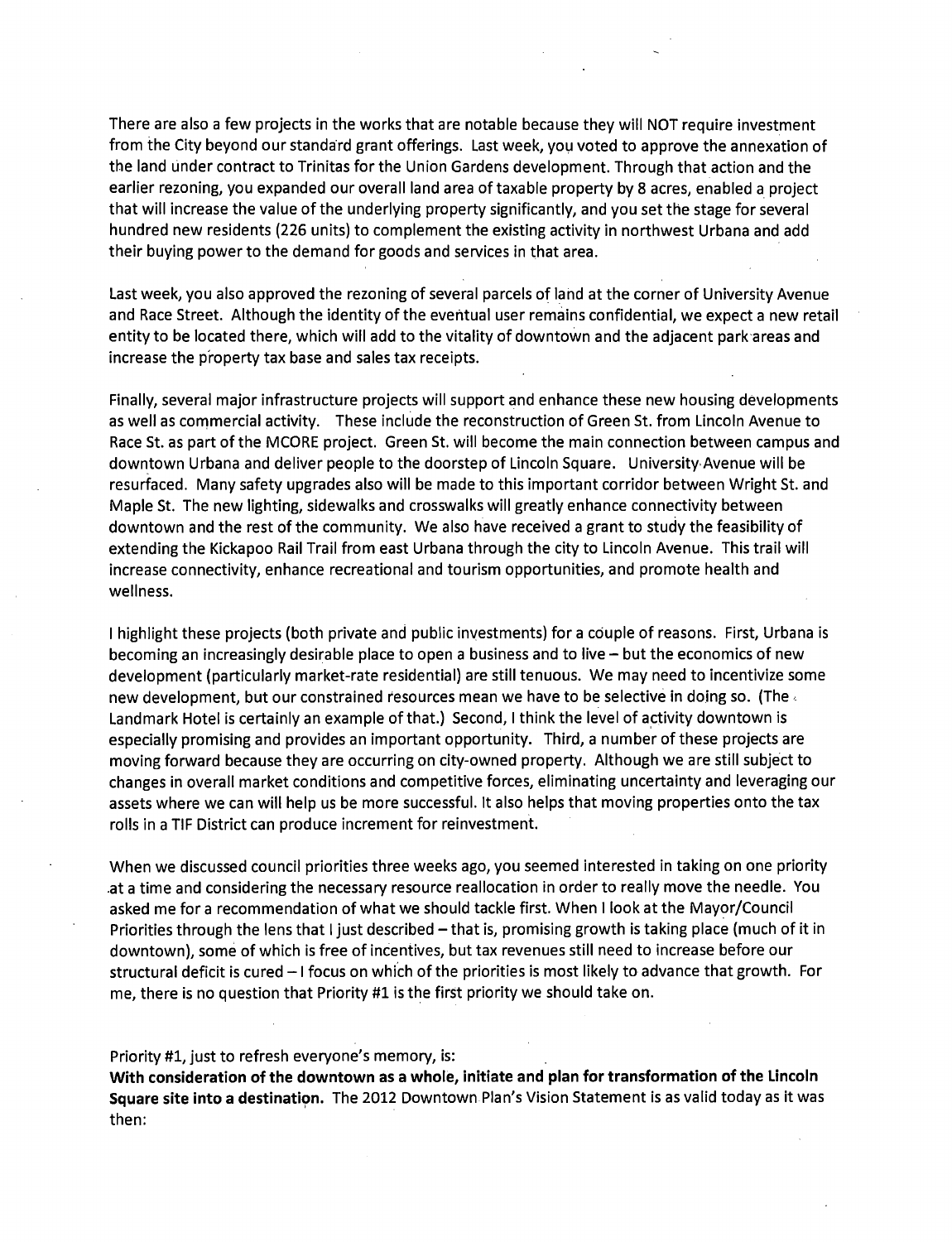There are also a few projects in the works that are notable because they will NOT require investment from the City beyond our standard grant offerings. Last week, you voted to approve the annexation of the land under contract to Trinitas for the Union Gardens development. Through that action and the earlier rezoning, you expanded our overall land area of taxable property by 8 acres, enabled a project that will increase the value of the underlying property significantly, and you set the stage for several hundred new residents (226 units) to complement the existing activity in northwest Urbana and add their buying power to the demand for goods and services in that area.

Last week, you also approved the rezoning of several parcels of land at the corner of University Avenue and Race Street. Although the identity of the eventual user remains confidential, we expect a new retail entity to be located there, which will add to the vitality of downtown and the adjacent park·areas and increase the p'roperty tax base and sales tax receipts.

Finally, several major infrastructure projects will support and enhance these new housing developments as well as commercial activity. These include the reconstruction of Green St. from Lincoln Avenue to Race St. as part of the MCORE project. Green St. will become the main connection between campus and downtown Urbana and deliver people to the doorstep of Lincoln Square. University Avenue will be resurfaced. Many safety upgrades also will be made to this important corridor between Wright St. and Maple St. The new lighting, sidewalks and crosswalks will greatly enhance connectivity between downtown and the rest of the community. We also have received a grant to study the feasibility of extending the Kickapoo Rail Trail from east Urbana through the city to Lincoln Avenue. This trail will increase connectivity, enhance recreational and tourism opportunities, and promote health and wellness.

I highlight these projects (both private and public investments) for a couple of reasons. First, Urbana is becoming an increasingly desirable place to open a business and to live  $-$  but the economics of new development (particularly market-rate residential) are still tenuous. We may need to incentivize some new development, but our constrained resources mean we have to be selective in doing so. (The Landmark Hotel is certainly an example of that.) Second, I think the level of activity downtown is especially promising and provides an important opportunity. Third, a number of these projects are moving forward because they are occurring on city-owned property. Although we are still subject to changes in overall market conditions and competitive forces, eliminating uncertainty and leveraging our assets where we can will help us be more successful. It also helps that moving properties onto the tax rolls in a TIF District can produce increment for reinvestment.

When we discussed council priorities three weeks ago, you seemed interested in taking on one priority .at a time and considering the necessary resource reallocation in order to really move the needle. You asked me for a recommendation of what we should tackle first. When I look at the Mayor/Council Priorities through the lens that I just described - that is, promising growth is taking place (much of it in downtown), some of which is free of incentives, but tax revenues still need to increase before our structural deficit is cured  $-1$  focus on which of the priorities is most likely to advance that growth. For me, there is no question that Priority #1 is the first priority we should take on.

## Priority #1, just to refresh everyone's memory, is:

**With consideration of the downtown as a whole, initiate and plan for transformation of the Lincoln Square site into a destination.** The 2012 Downtown Plan's Vision Statement is as valid today as it was then: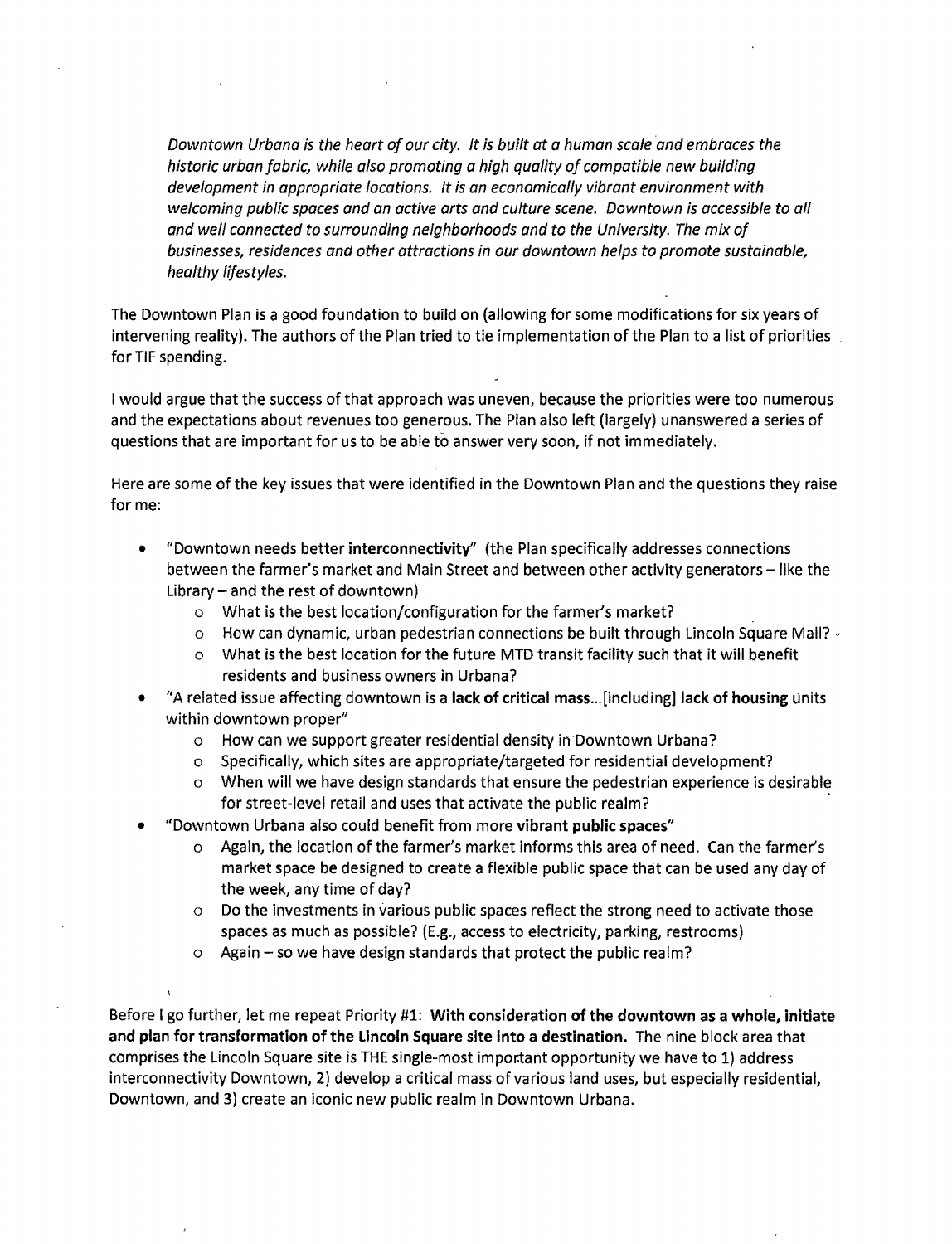*Downtown Urbana is the heart of our city. It is built at a human scale and embraces the historic urban fabric, while also promoting a high quality of compatible new building development in appropriate locations. It is an economically vibrant environment with*  welcoming public spaces and an active arts and culture scene. Downtown is accessible to all *and well connected to surrounding neighborhoods and to the University. The mix of businesses, residences and other attractions in our downtown helps to promote sustainable, healthy lifestyles.* 

The Downtown Plan is a good foundation to build on (allowing for some modifications for six years of intervening reality). The authors of the Plan tried to tie implementation of the Plan to a list of priorities for TIF spending.

. I would argue that the success of that approach was uneven, because the priorities were too numerous and the expectations about revenues too generous. The Plan also left (largely) unanswered a series of questions that are important for us to be able to answer very soon, if not immediately.

Here are some of the key issues that were identified in the Downtown Plan and the questions they raise for me:

- "Downtown needs better interconnectivity" (the Plan specifically addresses connections between the farmer's market and Main Street and between other activity generators - like the Library  $-$  and the rest of downtown)
	- o What is the best location/configuration for the farmer's market?
	- $\circ$  How can dynamic, urban pedestrian connections be built through Lincoln Square Mall?  $\circ$
	- o What is the best location for the future MTD transit facility such that it will benefit residents and business owners in Urbana?
- "A related issue affecting downtown is a lack of critical mass ... [including] lack of housing units within downtown proper"
	- o How can we support greater residential density in Downtown Urbana?
	- o Specifically, which sites are appropriate/targeted for residential development?
	- o When will we have design standards that ensure the pedestrian experience is desirable for street-level retail and uses that activate the public realm?
- "Downtown Urbana also could benefit from more vibrant public spaces"
	- o Again, the location of the farmer's market informs this area of need. Can the farmer's market space be designed to create a flexible public space that can be used any day of the week, any time of day?
	- o Do the investments in various public spaces reflect the strong need to activate those spaces as much as possible? (E.g., access to electricity, parking, restrooms)
	- $\circ$  Again so we have design standards that protect the public realm?

Before I go further, let me repeat Priority #1: With consideration of the downtown as a whole, initiate and plan for transformation of the Lincoln Square site into a destination. The nine block area that comprises the Lincoln Square site is THE single-most impor:tant opportunity we have to 1) address interconnectivity Downtown, 2) develop a critical mass of various land uses, but especially residential, Downtown, and 3) create an iconic new public realm in Downtown Urbana.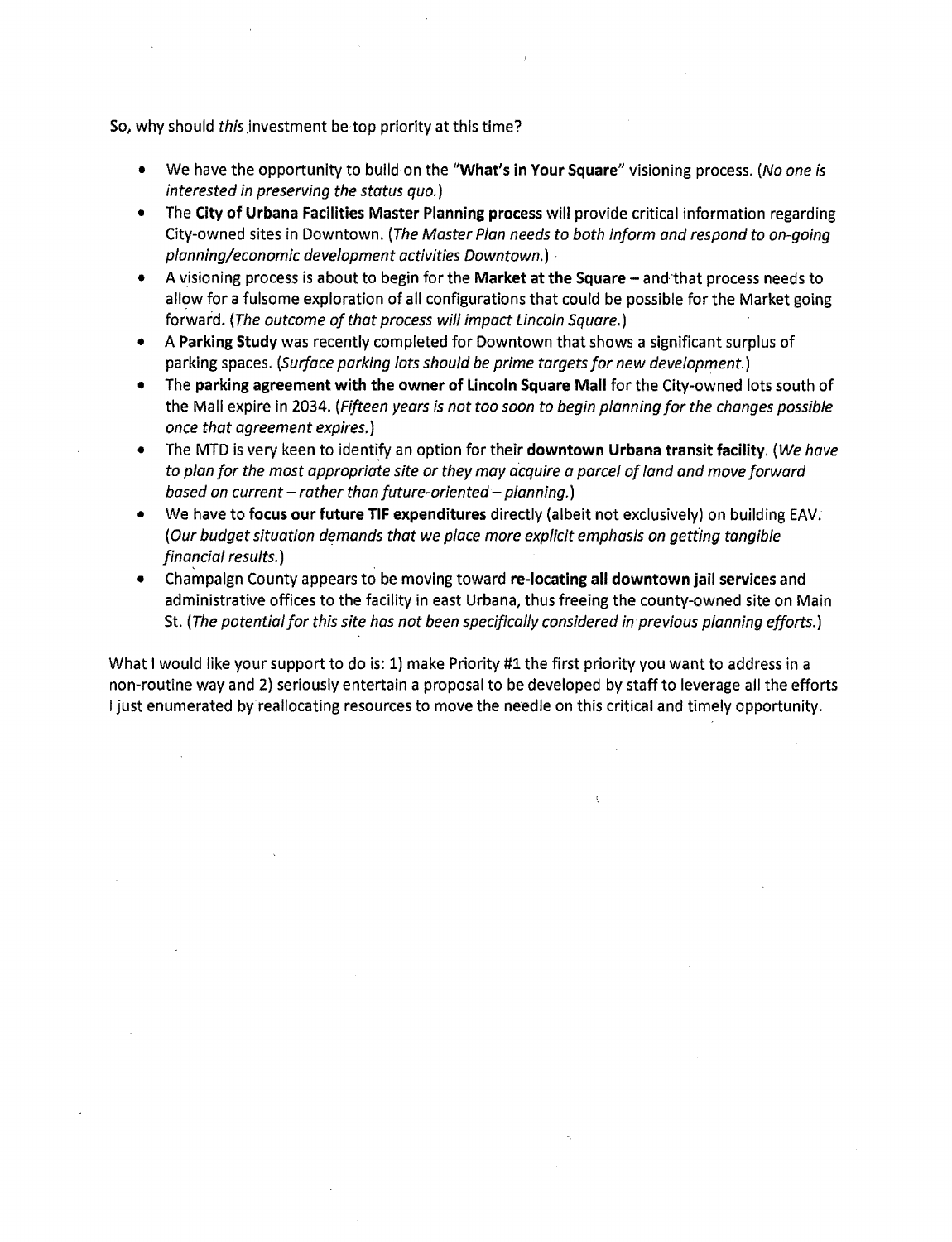So, why should *this* investment be top priority at this time?

- We have the opportunity to build on the "What's in Your Square" visioning process. *(No one is interested in preserving the status quo.)*
- The City of Urbana Facilities Master Planning process will provide critical information regarding City-owned sites in Downtown. *(The Master Plan needs to both inform and respond to on-going planning/economic development activities Downtown.)* ·
- A visioning process is about to begin for the Market at the Square and that process needs to allow for a fulsome exploration of all configurations that could be possible for the Market going forward. *(The outcome of that process will impact Lincoln Square.)*
- A Parking Study was recently completed for Downtown that shows a significant surplus of parking spaces. *(Surface parking Jots should be prime targets for new development.)*
- The parking agreement with the owner of Lincoln Square Mall for the City-owned lots south of the Mall expire in 2034. *(Fifteen years is not too soon to begin planning for the changes possible once that agreement expires.)*
- The MTD is very keen to identify an option for their downtown Urbana transit facility. *(We have*  to plan for the most appropriate site or they may acquire a parcel of land and move forward *based on current* - *rather than future-oriented- planning.)*
- We have to focus our future TIF expenditures directly (albeit not exclusively) on building EAV. *(Our budget situation demands that we place more explicit emphasis on getting tangible financial results.)*
- Champaign County appears to be moving toward re-locating all downtown jail services and administrative offices to the facility in east Urbana, thus freeing the county-owned site on Main St. (The potential for this site has not been specifically considered in *previous planning efforts.*)

What I would like your support to do is: 1) make Priority #1 the first priority you want to address in a non-routine way and 2) seriously entertain a proposal to be developed by staff to leverage all the efforts I just enumerated by reallocating resources to move the needle on this critical and timely opportunity.